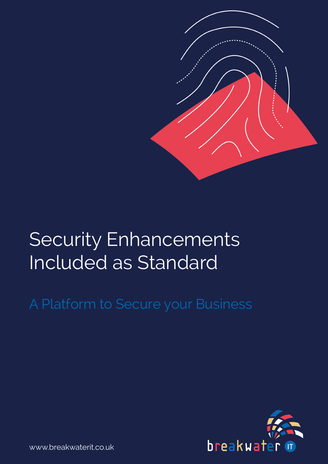

# Security Enhancements Included as Standard

# A Platform to Secure your Business



www.breakwaterit.co.uk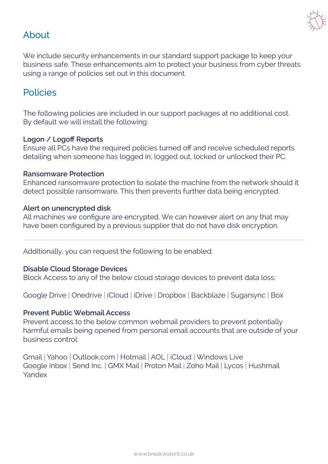

## About

We include security enhancements in our standard support package to keep your business safe. These enhancements aim to protect your business from cyber threats using a range of policies set out in this document.

### Policies

The following policies are included in our support packages at no additional cost. By default we will install the following:

#### **Logon / Logoff Reports**

Ensure all PCs have the required policies turned off and receive scheduled reports detailing when someone has logged in, logged out, locked or unlocked their PC.

#### **Ransomware Protection**

Enhanced ransomware protection to isolate the machine from the network should it detect possible ransomware. This then prevents further data being encrypted.

#### **Alert on unencrypted disk**

All machines we configure are encrypted. We can however alert on any that may have been configured by a previous supplier that do not have disk encryption.

Additionally, you can request the following to be enabled:

#### **Disable Cloud Storage Devices**

Block Access to any of the below cloud storage devices to prevent data loss:

Google Drive | Onedrive | iCloud | iDrive | Dropbox | Backblaze | Sugarsync | Box

#### **Prevent Public Webmail Access**

Prevent access to the below common webmail providers to prevent potentially harmful emails being opened from personal email accounts that are outside of your business control:

Gmail | Yahoo | Outlook.com | Hotmail | AOL | iCloud | Windows Live Google Inbox | Send Inc. | GMX Mail | Proton Mail | Zoho Mail | Lycos | Hushmail Yandex